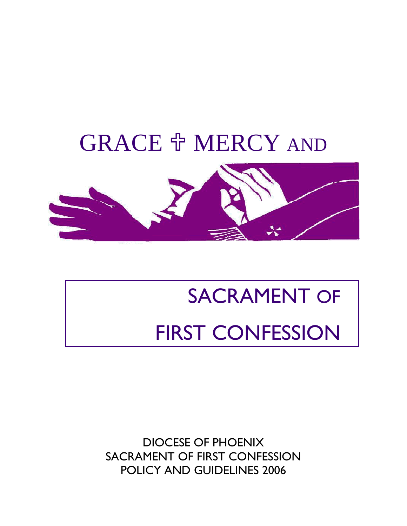## GRACE **OF MERCY** AND



# SACRAMENT OF FIRST CONFESSION

DIOCESE OF PHOENIX SACRAMENT OF FIRST CONFESSION POLICY AND GUIDELINES 2006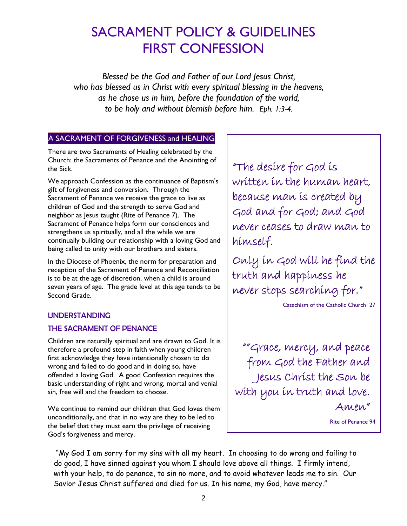### SACRAMENT POLICY & GUIDELINES FIRST CONFESSION

*Blessed be the God and Father of our Lord Jesus Christ, who has blessed us in Christ with every spiritual blessing in the heavens, as he chose us in him, before the foundation of the world, to be holy and without blemish before him. Eph. 1:3-4.*

### A SACRAMENT OF FORGIVENESS and HEALING

There are two Sacraments of Healing celebrated by the Church: the Sacraments of Penance and the Anointing of the Sick.

We approach Confession as the continuance of Baptism's gift of forgiveness and conversion. Through the Sacrament of Penance we receive the grace to live as children of God and the strength to serve God and neighbor as Jesus taught (Rite of Penance 7). The Sacrament of Penance helps form our consciences and strengthens us spiritually, and all the while we are continually building our relationship with a loving God and being called to unity with our brothers and sisters.

In the Diocese of Phoenix, the norm for preparation and reception of the Sacrament of Penance and Reconciliation is to be at the age of discretion, when a child is around seven years of age. The grade level at this age tends to be Second Grade.

#### UNDERSTANDING

### THE SACRAMENT OF PENANCE

Children are naturally spiritual and are drawn to God. It is therefore a profound step in faith when young children first acknowledge they have intentionally chosen to do wrong and failed to do good and in doing so, have offended a loving God. A good Confession requires the basic understanding of right and wrong, mortal and venial sin, free will and the freedom to choose.

We continue to remind our children that God loves them unconditionally, and that in no way are they to be led to the belief that they must earn the privilege of receiving God's forgiveness and mercy.

"The desire for God is written in the human heart, because man is created by God and for God; and God never ceases to draw man to himself.

Only in God will he find the truth and happiness he never stops searching for."

Catechism of the Catholic Church 27

""Grace, mercy, and peace from God the Father and Jesus Christ the Son be with you in truth and love. Amen"

Rite of Penance 94

 "My God I am sorry for my sins with all my heart. In choosing to do wrong and failing to do good, I have sinned against you whom I should love above all things. I firmly intend, with your help, to do penance, to sin no more, and to avoid whatever leads me to sin. Our Savior Jesus Christ suffered and died for us. In his name, my God, have mercy."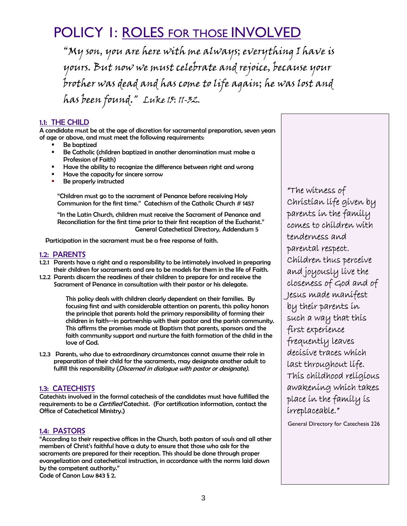### POLICY 1: ROLES FOR THOSE INVOLVED

"My son, you are here with me always; everything I have is yours. But now we must celebrate and rejoice, because your brother was dead and has come to life again; he was lost and has been found." Luke 15: 11-32.

#### 1.1: THE CHILD

A candidate must be at the age of discretion for sacramental preparation, seven years of age or above, and must meet the following requirements:

- Be baptized
- **Be Catholic (children baptized in another denomination must make a** Profession of Faith)
- Have the ability to recognize the difference between right and wrong
- Have the capacity for sincere sorrow
- Be properly instructed

"Children must go to the sacrament of Penance before receiving Holy Communion for the first time." Catechism of the Catholic Church # 1457

"In the Latin Church, children must receive the Sacrament of Penance and Reconciliation for the first time prior to their first reception of the Eucharist." General Catechetical Directory, Addendum 5

Participation in the sacrament must be a free response of faith.

#### 1.2: PARENTS

- 1.2.1 Parents have a right and a responsibility to be intimately involved in preparing their children for sacraments and are to be models for them in the life of Faith.
- 1.2.2 Parents discern the readiness of their children to prepare for and receive the Sacrament of Penance in consultation with their pastor or his delegate.

This policy deals with children clearly dependent on their families. By focusing first and with considerable attention on parents, this policy honors the principle that parents hold the primary responsibility of forming their children in faith--in partnership with their pastor and the parish community. This affirms the promises made at Baptism that parents, sponsors and the faith community support and nurture the faith formation of the child in the love of God.

1.2.3 Parents, who due to extraordinary circumstances cannot assume their role in preparation of their child for the sacraments, may designate another adult to fulfill this responsibility (Discerned in dialogue with pastor or designate).

#### 1.3: CATECHISTS

Catechists involved in the formal catechesis of the candidates must have fulfilled the requirements to be a *Certified* Catechist. (For certification information, contact the Office of Catechetical Ministry.)

#### 1.4: PASTORS

"According to their respective offices in the Church, both pastors of souls and all other members of Christ's faithful have a duty to ensure that those who ask for the sacraments are prepared for their reception. This should be done through proper evangelization and catechetical instruction, in accordance with the norms laid down by the competent authority."

Code of Canon Law 843 § 2.

"The witness of Christian life given by parents in the family comes to children with tenderness and parental respect. Children thus perceive and joyously live the closeness of God and of Jesus made manifest by their parents in such a way that this first experience frequently leaves decisive traces which last throughout life. This childhood religious awakening which takes place in the family is irreplaceable."

General Directory for Catechesis 226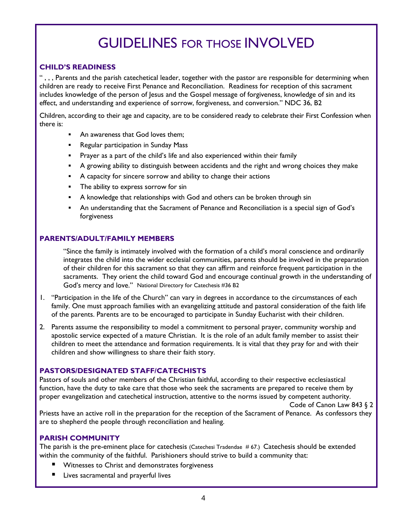## GUIDELINES FOR THOSE INVOLVED

#### **CHILD'S READINESS**

" , , , Parents and the parish catechetical leader, together with the pastor are responsible for determining when children are ready to receive First Penance and Reconciliation. Readiness for reception of this sacrament includes knowledge of the person of Jesus and the Gospel message of forgiveness, knowledge of sin and its effect, and understanding and experience of sorrow, forgiveness, and conversion." NDC 36, B2

Children, according to their age and capacity, are to be considered ready to celebrate their First Confession when there is:

- An awareness that God loves them;
- **Regular participation in Sunday Mass**
- **Prayer as a part of the child's life and also experienced within their family**
- A growing ability to distinguish between accidents and the right and wrong choices they make
- A capacity for sincere sorrow and ability to change their actions
- **The ability to express sorrow for sin**
- **A** knowledge that relationships with God and others can be broken through sin
- An understanding that the Sacrament of Penance and Reconciliation is a special sign of God's forgiveness

#### **PARENTS/ADULT/FAMILY MEMBERS**

"Since the family is intimately involved with the formation of a child's moral conscience and ordinarily integrates the child into the wider ecclesial communities, parents should be involved in the preparation of their children for this sacrament so that they can affirm and reinforce frequent participation in the sacraments. They orient the child toward God and encourage continual growth in the understanding of God's mercy and love." National Directory for Catechesis #36 B2

- 1. "Participation in the life of the Church" can vary in degrees in accordance to the circumstances of each family. One must approach families with an evangelizing attitude and pastoral consideration of the faith life of the parents. Parents are to be encouraged to participate in Sunday Eucharist with their children.
- 2. Parents assume the responsibility to model a commitment to personal prayer, community worship and apostolic service expected of a mature Christian. It is the role of an adult family member to assist their children to meet the attendance and formation requirements. It is vital that they pray for and with their children and show willingness to share their faith story.

#### **PASTORS/DESIGNATED STAFF/CATECHISTS**

Pastors of souls and other members of the Christian faithful, according to their respective ecclesiastical function, have the duty to take care that those who seek the sacraments are prepared to receive them by proper evangelization and catechetical instruction, attentive to the norms issued by competent authority.

Code of Canon Law 843 § 2

Priests have an active roll in the preparation for the reception of the Sacrament of Penance. As confessors they are to shepherd the people through reconciliation and healing.

#### **PARISH COMMUNITY**

The parish is the pre-eminent place for catechesis (Catechesi Tradendae #67.) Catechesis should be extended within the community of the faithful. Parishioners should strive to build a community that:

- **Witnesses to Christ and demonstrates forgiveness**
- **E** Lives sacramental and prayerful lives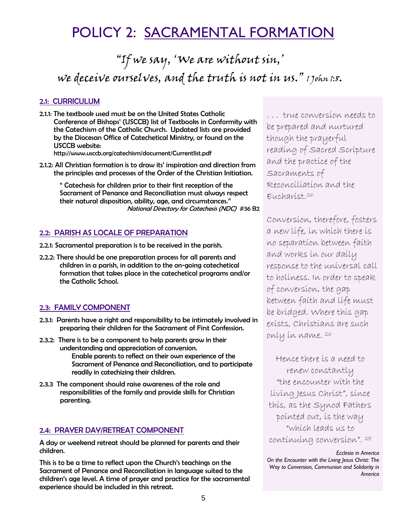### POLICY 2: SACRAMENTAL FORMATION

"If we say, 'We are without sin,' we deceive ourselves, and the truth is not in us." 1 John 1:8.

#### 2.1: CURRICULUM

2.1.1: The textbook used must be on the United States Catholic Conference of Bishops' (USCCB) list of Textbooks in Conformity with the Catechism of the Catholic Church. Updated lists are provided by the Diocesan Office of Catechetical Ministry, or found on the USCCB website:

http://www.usccb.org/catechism/document/Currentlist.pdf

2.1.2: All Christian formation is to draw its' inspiration and direction from the principles and processes of the Order of the Christian Initiation.

" Catechesis for children prior to their first reception of the Sacrament of Penance and Reconciliation must always respect their natural disposition, ability, age, and circumstances." National Directory for Catechesis (NDC) #36 B2

#### 2.2: PARISH AS LOCALE OF PREPARATION

- 2.2.1: Sacramental preparation is to be received in the parish.
- 2.2.2: There should be one preparation process for all parents and children in a parish, in addition to the on-going catechetical formation that takes place in the catechetical programs and/or the Catholic School.

#### 2.3: FAMILY COMPONENT

- 2.3.1: Parents have a right and responsibility to be intimately involved in preparing their children for the Sacrament of First Confession.
- 2.3.2: There is to be a component to help parents grow in their understanding and appreciation of conversion. Enable parents to reflect on their own experience of the Sacrament of Penance and Reconciliation, and to participate readily in catechizing their children.
- 2.3.3 The component should raise awareness of the role and responsibilities of the family and provide skills for Christian parenting.

#### 2.4: PRAYER DAY/RETREAT COMPONENT

A day or weekend retreat should be planned for parents and their children.

This is to be a time to reflect upon the Church's teachings on the Sacrament of Penance and Reconciliation in language suited to the children's age level. A time of prayer and practice for the sacramental experience should be included in this retreat.

. . . true conversion needs to be prepared and nurtured though the prayerful reading of Sacred Scripture and the practice of the Sacraments of Reconciliation and the Eucharist.26

Conversion, therefore, fosters a new life, in which there is no separation between faith and works in our daily response to the universal call to holiness. In order to speak of conversion, the gap between faith and life must be bridged. Where this gap exists, Christians are such only in name. 26

Hence there is a need to renew constantly "the encounter with the living Jesus Christ", since this, as the Synod Fathers pointed out, is the way "which leads us to continuing conversion". 28

*Ecclesia in America On the Encounter with the Living Jesus Christ: The Way to Conversion, Communion and Solidarity in America*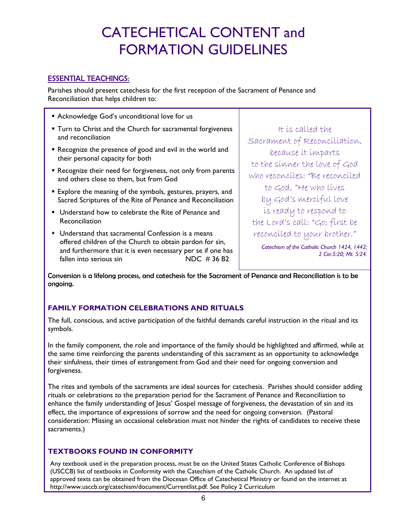### CATECHETICAL CONTENT and FORMATION GUIDELINES

### ESSENTIAL TEACHINGS:

Parishes should present catechesis for the first reception of the Sacrament of Penance and Reconciliation that helps children to:

- Acknowledge God's unconditional love for us **Turn to Christ and the Church for sacramental forgiveness** and reconciliation
- Recognize the presence of good and evil in the world and their personal capacity for both
- Recognize their need for forgiveness, not only from parents and others close to them, but from God
- **Explore the meaning of the symbols, gestures, prayers, and** Sacred Scriptures of the Rite of Penance and Reconciliation
- Understand how to celebrate the Rite of Penance and Reconciliation
- **Understand that sacramental Confession is a means** offered children of the Church to obtain pardon for sin, and furthermore that it is even necessary per se if one has fallen into serious sin NDC # 36 B2

It is called the Sacrament of Reconciliation, because it imparts to the sinner the love of God who reconciles: "Be reconciled to God, "He who lives by God's merciful love is ready to respond to the Lord's call: "Go; first be reconciled to your brother."

*Catechism of the Catholic Church 1424, 1442; 2 Cor.5:20; Mt. 5:24.* 

Conversion is a lifelong process, and catechesis for the Sacrament of Penance and Reconciliation is to be ongoing.

#### **FAMILY FORMATION CELEBRATIONS AND RITUALS**

The full, conscious, and active participation of the faithful demands careful instruction in the ritual and its symbols.

In the family component, the role and importance of the family should be highlighted and affirmed, while at the same time reinforcing the parents understanding of this sacrament as an opportunity to acknowledge their sinfulness, their times of estrangement from God and their need for ongoing conversion and forgiveness.

The rites and symbols of the sacraments are ideal sources for catechesis. Parishes should consider adding rituals or celebrations to the preparation period for the Sacrament of Penance and Reconciliation to enhance the family understanding of Jesus' Gospel message of forgiveness, the devastation of sin and its effect, the importance of expressions of sorrow and the need for ongoing conversion. (Pastoral consideration: Missing an occasional celebration must not hinder the rights of candidates to receive these sacraments.)

### **TEXTBOOKS FOUND IN CONFORMITY**

Any textbook used in the preparation process, must be on the United States Catholic Conference of Bishops (USCCB) list of textbooks in Conformity with the Catechism of the Catholic Church. An updated list of approved texts can be obtained from the Diocesan Office of Catechetical Ministry or found on the internet at http://www.usccb.org/catechism/document/Currentlist.pdf. See Policy 2 Curriculum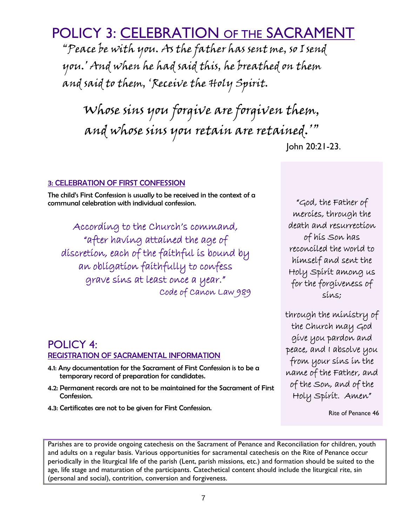POLICY 4: REGISTRATION OF SACRAMENTAL INFORMATION

- 4.1: Any documentation for the Sacrament of First Confession is to be a temporary record of preparation for candidates.
- 4.2: Permanent records are not to be maintained for the Sacrament of First Confession.
- 4.3: Certificates are not to be given for First Confession.

(personal and social), contrition, conversion and forgiveness.

"God, the Father of mercies, through the death and resurrection of his Son has reconciled the world to himself and sent the Holy Spirit among us for the forgiveness of sins;

through the ministry of the Church may God give you pardon and peace, and I absolve you from your sins in the name of the Father, and of the Son, and of the Holy Spirit. Amen"

Rite of Penance 46

POLICY 3: CELEBRATION OF THE SACRAMENT

"Peace be with you. As the father has sent me, so I send you.' And when he had said this, he breathed on them and said to them, 'Receive the Holy Spirit.

Whose sins you forgive are forgiven them, and whose sins you retain are retained.'" John 20:21-23.

#### 3: CELEBRATION OF FIRST CONFESSION

The child's First Confession is usually to be received in the context of a communal celebration with individual confession.

According to the Church's command, "after having attained the age of discretion, each of the faithful is bound by an obligation faithfully to confess grave sins at least once a year." Code of Canon Law 989

Parishes are to provide ongoing catechesis on the Sacrament of Penance and Reconciliation for children, youth and adults on a regular basis. Various opportunities for sacramental catechesis on the Rite of Penance occur periodically in the liturgical life of the parish (Lent, parish missions, etc.) and formation should be suited to the age, life stage and maturation of the participants. Catechetical content should include the liturgical rite, sin